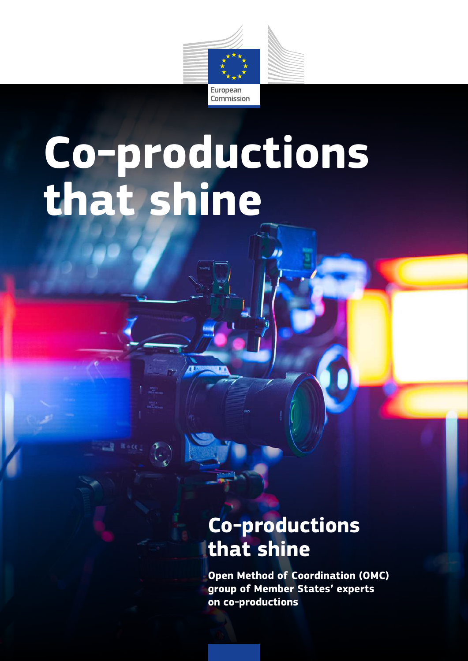

# **Co-productions that shine**

### **Co-productions that shine**

**Open Method of Coordination (OMC) group of Member States' experts on co-productions**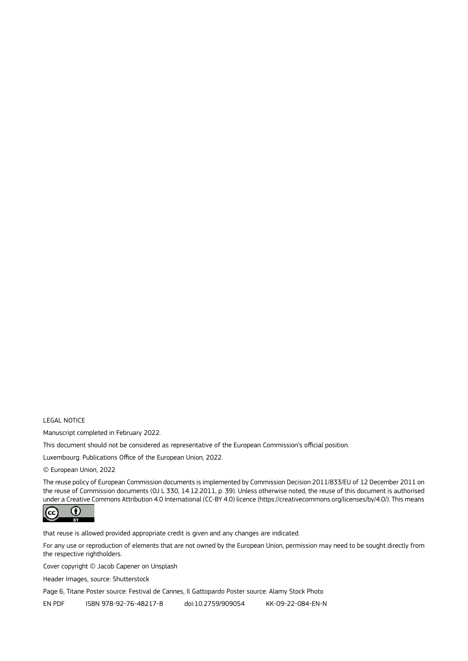#### LEGAL NOTICE

Manuscript completed in February 2022.

This document should not be considered as representative of the European Commission's official position.

Luxembourg: Publications Office of the European Union, 2022.

© European Union, 2022

The reuse policy of European Commission documents is implemented by Commission Decision 2011/833/EU of 12 December 2011 on the reuse of Commission documents (OJ L 330, 14.12.2011, p. 39). Unless otherwise noted, the reuse of this document is authorised under a Creative Commons Attribution 4.0 International (CC-BY 4.0) licence (https://creativecommons.org/licenses/by/4.0/). This means



that reuse is allowed provided appropriate credit is given and any changes are indicated.

For any use or reproduction of elements that are not owned by the European Union, permission may need to be sought directly from the respective rightholders.

Cover copyright © Jacob Capener on Unsplash

Header Images, source: Shutterstock

Page 6, Titane Poster source: Festival de Cannes, Il Gattopardo Poster source: Alamy Stock Photo

EN PDF ISBN 978-92-76-48217-8 doi:10.2759/909054 KK-09-22-084-EN-N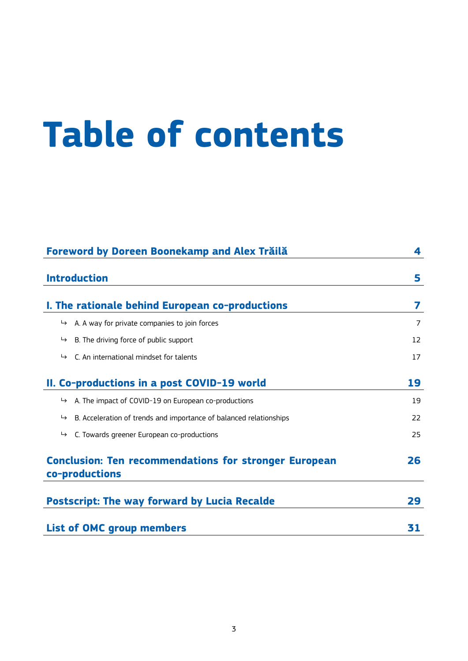## **Table of contents**

| Foreword by Doreen Boonekamp and Alex Trăilă                                    | 4  |
|---------------------------------------------------------------------------------|----|
| <b>Introduction</b>                                                             | 5  |
| I. The rationale behind European co-productions                                 | 7  |
| A. A way for private companies to join forces<br>↳                              | 7  |
| B. The driving force of public support<br>↳                                     | 12 |
| C. An international mindset for talents<br>$\mapsto$                            | 17 |
| II. Co-productions in a post COVID-19 world                                     | 19 |
| A. The impact of COVID-19 on European co-productions<br>$\mapsto$               | 19 |
| B. Acceleration of trends and importance of balanced relationships<br>$\mapsto$ | 22 |
| C. Towards greener European co-productions<br>↳                                 | 25 |
| <b>Conclusion: Ten recommendations for stronger European</b><br>co-productions  | 26 |
| <b>Postscript: The way forward by Lucia Recalde</b>                             | 29 |
| <b>List of OMC group members</b>                                                | 31 |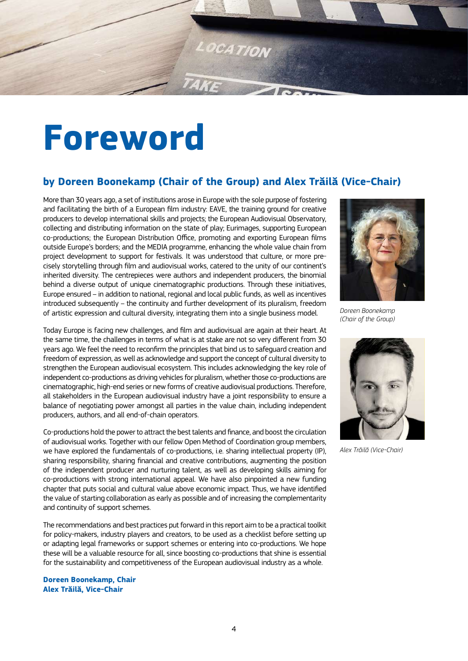<span id="page-3-0"></span>

## **Foreword**

#### **by Doreen Boonekamp (Chair of the Group) and Alex Trăilă (Vice-Chair)**

More than 30 years ago, a set of institutions arose in Europe with the sole purpose of fostering and facilitating the birth of a European film industry: EAVE, the training ground for creative producers to develop international skills and projects; the European Audiovisual Observatory, collecting and distributing information on the state of play; Eurimages, supporting European co-productions; the European Distribution Office, promoting and exporting European films outside Europe's borders; and the MEDIA programme, enhancing the whole value chain from project development to support for festivals. It was understood that culture, or more precisely storytelling through film and audiovisual works, catered to the unity of our continent's inherited diversity. The centrepieces were authors and independent producers, the binomial behind a diverse output of unique cinematographic productions. Through these initiatives, Europe ensured – in addition to national, regional and local public funds, as well as incentives introduced subsequently – the continuity and further development of its pluralism, freedom of artistic expression and cultural diversity, integrating them into a single business model.

Today Europe is facing new challenges, and film and audiovisual are again at their heart. At the same time, the challenges in terms of what is at stake are not so very different from 30 years ago. We feel the need to reconfirm the principles that bind us to safeguard creation and freedom of expression, as well as acknowledge and support the concept of cultural diversity to strengthen the European audiovisual ecosystem. This includes acknowledging the key role of independent co-productions as driving vehicles for pluralism, whether those co-productions are cinematographic, high-end series or new forms of creative audiovisual productions. Therefore, all stakeholders in the European audiovisual industry have a joint responsibility to ensure a balance of negotiating power amongst all parties in the value chain, including independent producers, authors, and all end-of-chain operators.

Co-productions hold the power to attract the best talents and finance, and boost the circulation of audiovisual works. Together with our fellow Open Method of Coordination group members, we have explored the fundamentals of co-productions, i.e. sharing intellectual property (IP), sharing responsibility, sharing financial and creative contributions, augmenting the position of the independent producer and nurturing talent, as well as developing skills aiming for co-productions with strong international appeal. We have also pinpointed a new funding chapter that puts social and cultural value above economic impact. Thus, we have identified the value of starting collaboration as early as possible and of increasing the complementarity and continuity of support schemes.

The recommendations and best practices put forward in this report aim to be a practical toolkit for policy-makers, industry players and creators, to be used as a checklist before setting up or adapting legal frameworks or support schemes or entering into co-productions. We hope these will be a valuable resource for all, since boosting co-productions that shine is essential for the sustainability and competitiveness of the European audiovisual industry as a whole.

**Doreen Boonekamp, Chair Alex Trăilă, Vice-Chair**



*Doreen Boonekamp (Chair of the Group)* 



*Alex Trăilă (Vice-Chair)*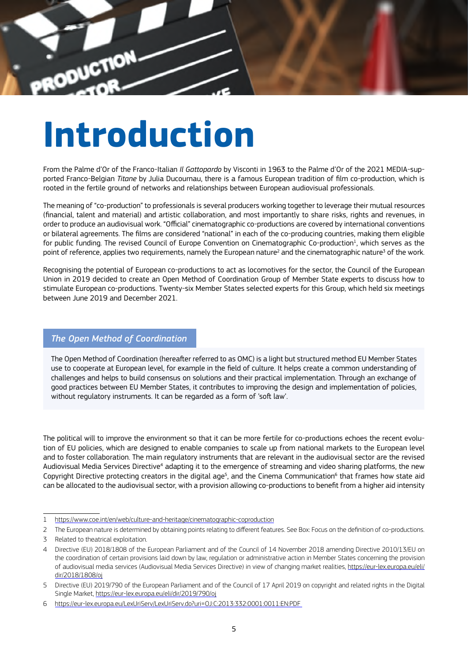<span id="page-4-0"></span>

## **Introduction**

From the Palme d'Or of the Franco-Italian *Il Gattopardo* by Visconti in 1963 to the Palme d'Or of the 2021 MEDIA-supported Franco-Belgian *Titane* by Julia Ducournau, there is a famous European tradition of film co-production, which is rooted in the fertile ground of networks and relationships between European audiovisual professionals.

The meaning of "co-production" to professionals is several producers working together to leverage their mutual resources (financial, talent and material) and artistic collaboration, and most importantly to share risks, rights and revenues, in order to produce an audiovisual work. "Official" cinematographic co-productions are covered by international conventions or bilateral agreements. The films are considered "national" in each of the co-producing countries, making them eligible for public funding. The revised Council of Europe Convention on Cinematographic Co-production<sup>1</sup>, which serves as the point of reference, applies two requirements, namely the European nature<sup>2</sup> and the cinematographic nature<sup>3</sup> of the work.

Recognising the potential of European co-productions to act as locomotives for the sector, the Council of the European Union in 2019 decided to create an Open Method of Coordination Group of Member State experts to discuss how to stimulate European co-productions. Twenty-six Member States selected experts for this Group, which held six meetings between June 2019 and December 2021.

#### *The Open Method of Coordination*

The Open Method of Coordination (hereafter referred to as OMC) is a light but structured method EU Member States use to cooperate at European level, for example in the field of culture. It helps create a common understanding of challenges and helps to build consensus on solutions and their practical implementation. Through an exchange of good practices between EU Member States, it contributes to improving the design and implementation of policies, without regulatory instruments. It can be regarded as a form of 'soft law'.

The political will to improve the environment so that it can be more fertile for co-productions echoes the recent evolution of EU policies, which are designed to enable companies to scale up from national markets to the European level and to foster collaboration. The main regulatory instruments that are relevant in the audiovisual sector are the revised Audiovisual Media Services Directive<sup>4</sup> adapting it to the emergence of streaming and video sharing platforms, the new Copyright Directive protecting creators in the digital age<sup>5</sup>, and the Cinema Communication<sup>6</sup> that frames how state aid can be allocated to the audiovisual sector, with a provision allowing co-productions to benefit from a higher aid intensity

<sup>1</sup> https://www.coe.int/en/web/culture-and-heritage/cinematographic-coproduction

<sup>2</sup> The European nature is determined by obtaining points relating to different features. See Box: Focus on the definition of co-productions.

<sup>3</sup> Related to theatrical exploitation.

<sup>4</sup> Directive (EU) 2018/1808 of the European Parliament and of the Council of 14 November 2018 amending Directive 2010/13/EU on the coordination of certain provisions laid down by law, regulation or administrative action in Member States concerning the provision of audiovisual media services (Audiovisual Media Services Directive) in view of changing market realities, https://eur-lex.europa.eu/eli/ dir/2018/1808/oj

<sup>5</sup> Directive (EU) 2019/790 of the European Parliament and of the Council of 17 April 2019 on copyright and related rights in the Digital Single Market, https://eur-lex.europa.eu/eli/dir/2019/790/oj

<sup>6</sup> https://eur-lex.europa.eu/LexUriServ/LexUriServ.do?uri=OJ:C:2013:332:0001:0011:EN:PDF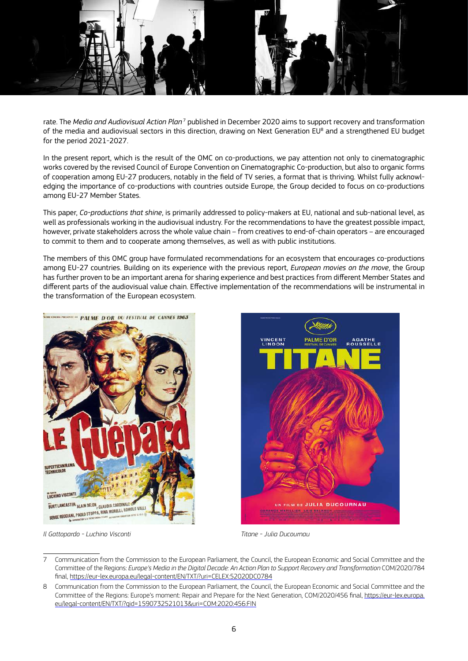

rate. The *Media and Audiovisual Action Plan* 7 published in December 2020 aims to support recovery and transformation of the media and audiovisual sectors in this direction, drawing on Next Generation EU<sup>8</sup> and a strengthened EU budget for the period 2021-2027.

In the present report, which is the result of the OMC on co-productions, we pay attention not only to cinematographic works covered by the revised Council of Europe Convention on Cinematographic Co-production, but also to organic forms of cooperation among EU-27 producers, notably in the field of TV series, a format that is thriving. Whilst fully acknowledging the importance of co-productions with countries outside Europe, the Group decided to focus on co-productions among EU-27 Member States.

This paper, *Co-productions that shine*, is primarily addressed to policy-makers at EU, national and sub-national level, as well as professionals working in the audiovisual industry. For the recommendations to have the greatest possible impact, however, private stakeholders across the whole value chain – from creatives to end-of-chain operators – are encouraged to commit to them and to cooperate among themselves, as well as with public institutions.

The members of this OMC group have formulated recommendations for an ecosystem that encourages co-productions among EU-27 countries. Building on its experience with the previous report, *European movies on the move*, the Group has further proven to be an important arena for sharing experience and best practices from different Member States and different parts of the audiovisual value chain. Effective implementation of the recommendations will be instrumental in the transformation of the European ecosystem.





*Il Gattopardo - Luchino Visconti Titane - Julia Ducournau*

<sup>7</sup> Communication from the Commission to the European Parliament, the Council, the European Economic and Social Committee and the Committee of the Regions: *Europe's Media in the Digital Decade: An Action Plan to Support Recovery and Transformation* COM/2020/784 final, https://eur-lex.europa.eu/legal-content/EN/TXT/?uri=CELEX:52020DC0784

<sup>8</sup> Communication from the Commission to the European Parliament, the Council, the European Economic and Social Committee and the Committee of the Regions: Europe's moment: Repair and Prepare for the Next Generation, COM/2020/456 final, https://eur-lex.europa. eu/legal-content/EN/TXT/?qid=1590732521013&uri=COM:2020:456:FIN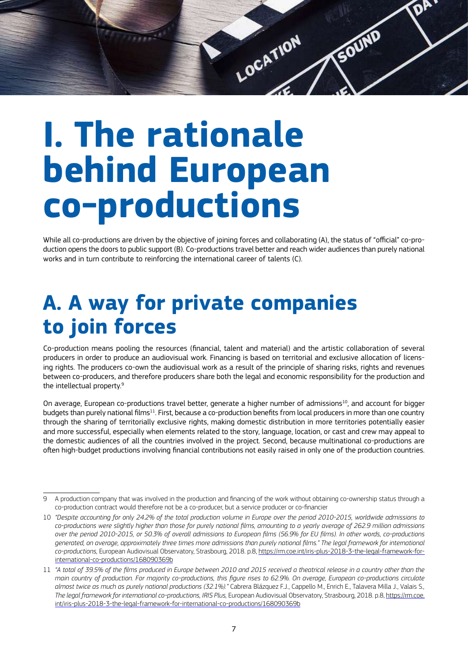<span id="page-6-0"></span>

## **I. The rationale behind European co-productions**

While all co-productions are driven by the objective of joining forces and collaborating (A), the status of "official" co-production opens the doors to public support (B). Co-productions travel better and reach wider audiences than purely national works and in turn contribute to reinforcing the international career of talents (C).

### **A. A way for private companies to join forces**

Co-production means pooling the resources (financial, talent and material) and the artistic collaboration of several producers in order to produce an audiovisual work. Financing is based on territorial and exclusive allocation of licensing rights. The producers co-own the audiovisual work as a result of the principle of sharing risks, rights and revenues between co-producers, and therefore producers share both the legal and economic responsibility for the production and the intellectual property.9

On average, European co-productions travel better, generate a higher number of admissions<sup>10</sup>, and account for bigger budgets than purely national films<sup>11</sup>. First, because a co-production benefits from local producers in more than one country through the sharing of territorially exclusive rights, making domestic distribution in more territories potentially easier and more successful, especially when elements related to the story, language, location, or cast and crew may appeal to the domestic audiences of all the countries involved in the project. Second, because multinational co-productions are often high-budget productions involving financial contributions not easily raised in only one of the production countries.

<sup>9</sup> A production company that was involved in the production and financing of the work without obtaining co-ownership status through a co-production contract would therefore not be a co-producer, but a service producer or co-financier

<sup>10</sup> *"Despite accounting for only 24.2% of the total production volume in Europe over the period 2010-2015, worldwide admissions to co-productions were slightly higher than those for purely national films, amounting to a yearly average of 262.9 million admissions over the period 2010-2015, or 50.3% of overall admissions to European films (56.9% for EU films). In other words, co-productions generated, on average, approximately three times more admissions than purely national films." The legal framework for international co-productions,* European Audiovisual Observatory, Strasbourg, 2018. p.8, https://rm.coe.int/iris-plus-2018-3-the-legal-framework-forinternational-co-productions/168090369b

<sup>11</sup> *"A total of 39.5% of the films produced in Europe between 2010 and 2015 received a theatrical release in a country other than the main country of production. For majority co-productions, this figure rises to 62.9%. On average, European co-productions circulate almost twice as much as purely national productions (32.1%)."* Cabrera Blázquez F.J., Cappello M., Enrich E., Talavera Milla J., Valais S*., The legal framework for international co-productions, IRIS Plus, European Audiovisual Observatory, Strasbourg, 2018. p.8, https://rm.coe.* int/iris-plus-2018-3-the-legal-framework-for-international-co-productions/168090369b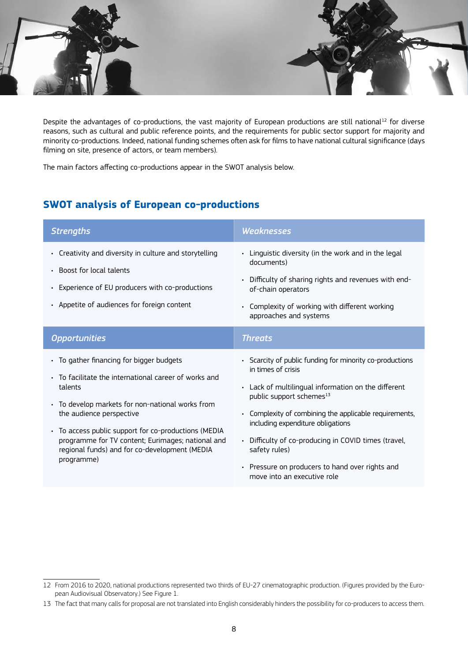

Despite the advantages of co-productions, the vast majority of European productions are still national<sup>12</sup> for diverse reasons, such as cultural and public reference points, and the requirements for public sector support for majority and minority co-productions. Indeed, national funding schemes often ask for films to have national cultural significance (days filming on site, presence of actors, or team members).

The main factors affecting co-productions appear in the SWOT analysis below.

#### **SWOT analysis of European co-productions**

| <b>Strengths</b>                                                                                                                                                                                                                                                                                                                                                         | <b>Weaknesses</b>                                                                                                                                                                                                                                                                                                                                                                                                                                           |
|--------------------------------------------------------------------------------------------------------------------------------------------------------------------------------------------------------------------------------------------------------------------------------------------------------------------------------------------------------------------------|-------------------------------------------------------------------------------------------------------------------------------------------------------------------------------------------------------------------------------------------------------------------------------------------------------------------------------------------------------------------------------------------------------------------------------------------------------------|
| Creativity and diversity in culture and storytelling<br>$\bullet$<br>• Boost for local talents<br>Experience of EU producers with co-productions<br>• Appetite of audiences for foreign content                                                                                                                                                                          | • Linguistic diversity (in the work and in the legal<br>documents)<br>Difficulty of sharing rights and revenues with end-<br>$\bullet$<br>of-chain operators<br>• Complexity of working with different working<br>approaches and systems                                                                                                                                                                                                                    |
| <b>Opportunities</b>                                                                                                                                                                                                                                                                                                                                                     | <b>Threats</b>                                                                                                                                                                                                                                                                                                                                                                                                                                              |
| • To gather financing for bigger budgets<br>• To facilitate the international career of works and<br>talents<br>• To develop markets for non-national works from<br>the audience perspective<br>• To access public support for co-productions (MEDIA<br>programme for TV content; Eurimages; national and<br>regional funds) and for co-development (MEDIA<br>programme) | Scarcity of public funding for minority co-productions<br>in times of crisis<br>• Lack of multilingual information on the different<br>public support schemes <sup>13</sup><br>Complexity of combining the applicable requirements,<br>$\bullet$<br>including expenditure obligations<br>• Difficulty of co-producing in COVID times (travel,<br>safety rules)<br>Pressure on producers to hand over rights and<br>$\bullet$<br>move into an executive role |

<sup>12</sup> From 2016 to 2020, national productions represented two thirds of EU-27 cinematographic production. (Figures provided by the European Audiovisual Observatory.) See Figure 1.

<sup>13</sup> The fact that many calls for proposal are not translated into English considerably hinders the possibility for co-producers to access them.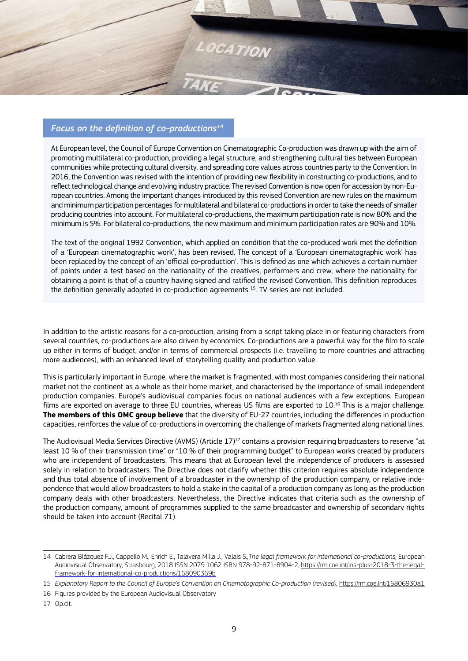

#### *Focus on the definition of co-productions14*

At European level, the Council of Europe Convention on Cinematographic Co-production was drawn up with the aim of promoting multilateral co-production, providing a legal structure, and strengthening cultural ties between European communities while protecting cultural diversity, and spreading core values across countries party to the Convention. In 2016, the Convention was revised with the intention of providing new flexibility in constructing co-productions, and to reflect technological change and evolving industry practice. The revised Convention is now open for accession by non-European countries. Among the important changes introduced by this revised Convention are new rules on the maximum and minimum participation percentages for multilateral and bilateral co-productions in order to take the needs of smaller producing countries into account. For multilateral co-productions, the maximum participation rate is now 80% and the minimum is 5%. For bilateral co-productions, the new maximum and minimum participation rates are 90% and 10%.

The text of the original 1992 Convention, which applied on condition that the co-produced work met the definition of a 'European cinematographic work', has been revised. The concept of a 'European cinematographic work' has been replaced by the concept of an 'official co-production'. This is defined as one which achieves a certain number of points under a test based on the nationality of the creatives, performers and crew, where the nationality for obtaining a point is that of a country having signed and ratified the revised Convention. This definition reproduces the definition generally adopted in co-production agreements<sup>15</sup>. TV series are not included.

In addition to the artistic reasons for a co-production, arising from a script taking place in or featuring characters from several countries, co-productions are also driven by economics. Co-productions are a powerful way for the film to scale up either in terms of budget, and/or in terms of commercial prospects (i.e. travelling to more countries and attracting more audiences), with an enhanced level of storytelling quality and production value.

This is particularly important in Europe, where the market is fragmented, with most companies considering their national market not the continent as a whole as their home market, and characterised by the importance of small independent production companies. Europe's audiovisual companies focus on national audiences with a few exceptions. European films are exported on average to three EU countries, whereas US films are exported to 10.16 This is a major challenge. **The members of this OMC group believe** that the diversity of EU-27 countries, including the differences in production capacities, reinforces the value of co-productions in overcoming the challenge of markets fragmented along national lines.

The Audiovisual Media Services Directive (AVMS) (Article 17)<sup>17</sup> contains a provision requiring broadcasters to reserve "at least 10 % of their transmission time" or "10 % of their programming budget" to European works created by producers who are independent of broadcasters. This means that at European level the independence of producers is assessed solely in relation to broadcasters. The Directive does not clarify whether this criterion requires absolute independence and thus total absence of involvement of a broadcaster in the ownership of the production company, or relative independence that would allow broadcasters to hold a stake in the capital of a production company as long as the production company deals with other broadcasters. Nevertheless, the Directive indicates that criteria such as the ownership of the production company, amount of programmes supplied to the same broadcaster and ownership of secondary rights should be taken into account (Recital 71).

<sup>14</sup> Cabrera Blázquez F.J., Cappello M., Enrich E., Talavera Milla J., Valais S*.,The legal framework for international co-productions,* European Audiovisual Observatory, Strasbourg, 2018 ISSN 2079 1062 ISBN 978-92-871-8904-2, https://rm.coe.int/iris-plus-2018-3-the-legalframework-for-international-co-productions/168090369b

<sup>15</sup> *Explanatory Report to the Council of Europe's Convention on Cinematographic Co-production (revised), [https://rm.coe.int/16806930a1](https://rm.coe.int/16806930a1 )* 

<sup>16</sup> Figures provided by the European Audiovisual Observatory

<sup>17</sup> Op.cit.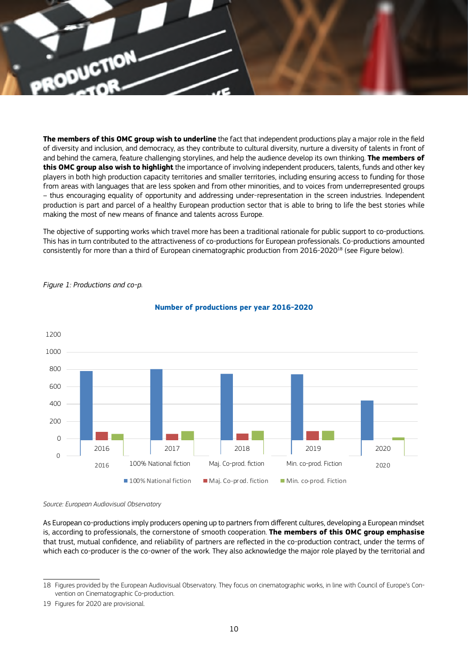

**The members of this OMC group wish to underline** the fact that independent productions play a major role in the field of diversity and inclusion, and democracy, as they contribute to cultural diversity, nurture a diversity of talents in front of and behind the camera, feature challenging storylines, and help the audience develop its own thinking. **The members of this OMC group also wish to highlight** the importance of involving independent producers, talents, funds and other key players in both high production capacity territories and smaller territories, including ensuring access to funding for those from areas with languages that are less spoken and from other minorities, and to voices from underrepresented groups – thus encouraging equality of opportunity and addressing under-representation in the screen industries. Independent production is part and parcel of a healthy European production sector that is able to bring to life the best stories while making the most of new means of finance and talents across Europe.

The objective of supporting works which travel more has been a traditional rationale for public support to co-productions. This has in turn contributed to the attractiveness of co-productions for European professionals. Co-productions amounted consistently for more than a third of European cinematographic production from 2016-2020<sup>18</sup> (see Figure below).



#### *Figure 1: Productions and co-p.*

#### Number of productions per year **Number of productions per year 2016-2020**

*Source: European Audiovisual Observatory*

As European co-productions imply producers opening up to partners from different cultures, developing a European mindset is, according to professionals, the cornerstone of smooth cooperation. **The members of this OMC group emphasise** that trust, mutual confidence, and reliability of partners are reflected in the co-production contract, under the terms of which each co-producer is the co-owner of the work. They also acknowledge the major role played by the territorial and

<sup>18</sup> Figures provided by the European Audiovisual Observatory. They focus on cinematographic works, in line with Council of Europe's Convention on Cinematographic Co-production.

<sup>19</sup> Figures for 2020 are provisional.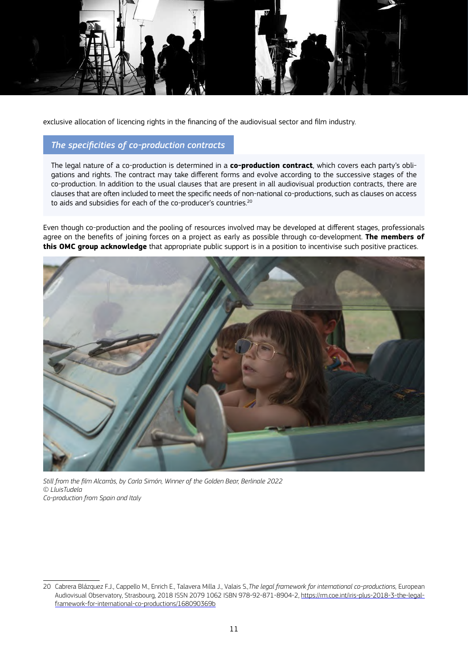

exclusive allocation of licencing rights in the financing of the audiovisual sector and film industry.

#### *The specificities of co-production contracts*

The legal nature of a co-production is determined in a **co-production contract**, which covers each party's obligations and rights. The contract may take different forms and evolve according to the successive stages of the co-production. In addition to the usual clauses that are present in all audiovisual production contracts, there are clauses that are often included to meet the specific needs of non-national co-productions, such as clauses on access to aids and subsidies for each of the co-producer's countries.<sup>20</sup>

Even though co-production and the pooling of resources involved may be developed at different stages, professionals agree on the benefits of joining forces on a project as early as possible through co-development. **The members of this OMC group acknowledge** that appropriate public support is in a position to incentivise such positive practices.



*Still from the film Alcarràs, by Carla Simón, Winner of the Golden Bear, Berlinale 2022 © LluisTudela Co-production from Spain and Italy*

<sup>20</sup> Cabrera Blázquez F.J., Cappello M., Enrich E., Talavera Milla J., Valais S*.,The legal framework for international co-productions,* European Audiovisual Observatory, Strasbourg, 2018 ISSN 2079 1062 ISBN 978-92-871-8904-2, https://rm.coe.int/iris-plus-2018-3-the-legalframework-for-international-co-productions/168090369b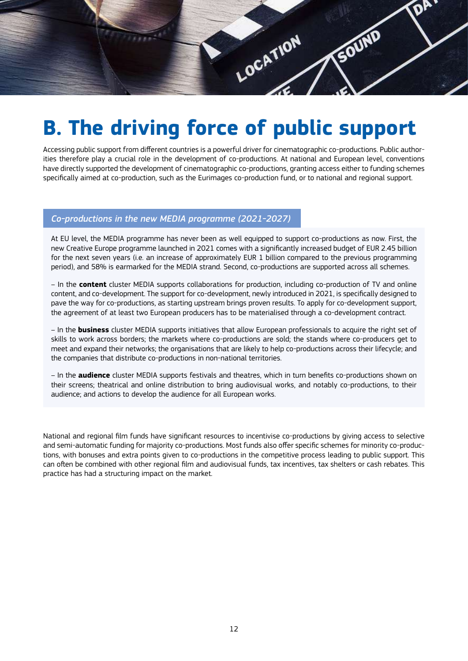<span id="page-11-0"></span>

### **B. The driving force of public support**

Accessing public support from different countries is a powerful driver for cinematographic co-productions. Public authorities therefore play a crucial role in the development of co-productions. At national and European level, conventions have directly supported the development of cinematographic co-productions, granting access either to funding schemes specifically aimed at co-production, such as the Eurimages co-production fund, or to national and regional support.

#### *Co-productions in the new MEDIA programme (2021-2027)*

At EU level, the MEDIA programme has never been as well equipped to support co-productions as now. First, the new Creative Europe programme launched in 2021 comes with a significantly increased budget of EUR 2.45 billion for the next seven years (i.e. an increase of approximately EUR 1 billion compared to the previous programming period), and 58% is earmarked for the MEDIA strand. Second, co-productions are supported across all schemes.

– In the **content** cluster MEDIA supports collaborations for production, including co-production of TV and online content, and co-development. The support for co-development, newly introduced in 2021, is specifically designed to pave the way for co-productions, as starting upstream brings proven results. To apply for co-development support, the agreement of at least two European producers has to be materialised through a co-development contract.

– In the **business** cluster MEDIA supports initiatives that allow European professionals to acquire the right set of skills to work across borders; the markets where co-productions are sold; the stands where co-producers get to meet and expand their networks; the organisations that are likely to help co-productions across their lifecycle; and the companies that distribute co-productions in non-national territories.

– In the **audience** cluster MEDIA supports festivals and theatres, which in turn benefits co-productions shown on their screens; theatrical and online distribution to bring audiovisual works, and notably co-productions, to their audience; and actions to develop the audience for all European works.

National and regional film funds have significant resources to incentivise co-productions by giving access to selective and semi-automatic funding for majority co-productions. Most funds also offer specific schemes for minority co-productions, with bonuses and extra points given to co-productions in the competitive process leading to public support. This can often be combined with other regional film and audiovisual funds, tax incentives, tax shelters or cash rebates. This practice has had a structuring impact on the market.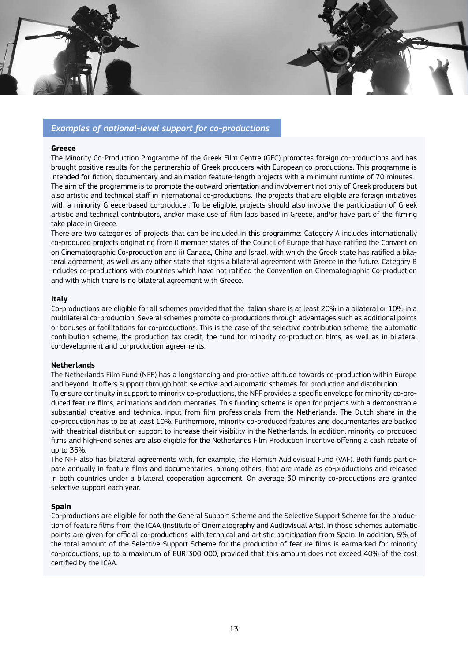

#### *Examples of national-level support for co-productions*

#### **Greece**

The Minority Co-Production Programme of the Greek Film Centre (GFC) promotes foreign co-productions and has brought positive results for the partnership of Greek producers with European co-productions. This programme is intended for fiction, documentary and animation feature-length projects with a minimum runtime of 70 minutes. The aim of the programme is to promote the outward orientation and involvement not only of Greek producers but also artistic and technical staff in international co-productions. The projects that are eligible are foreign initiatives with a minority Greece-based co-producer. To be eligible, projects should also involve the participation of Greek artistic and technical contributors, and/or make use of film labs based in Greece, and/or have part of the filming take place in Greece.

There are two categories of projects that can be included in this programme: Category A includes internationally co-produced projects originating from i) member states of the Council of Europe that have ratified the Convention on Cinematographic Co-production and ii) Canada, China and Israel, with which the Greek state has ratified a bilateral agreement, as well as any other state that signs a bilateral agreement with Greece in the future. Category B includes co-productions with countries which have not ratified the Convention on Cinematographic Co-production and with which there is no bilateral agreement with Greece.

#### **Italy**

Co-productions are eligible for all schemes provided that the Italian share is at least 20% in a bilateral or 10% in a multilateral co-production. Several schemes promote co-productions through advantages such as additional points or bonuses or facilitations for co-productions. This is the case of the selective contribution scheme, the automatic contribution scheme, the production tax credit, the fund for minority co-production films, as well as in bilateral co-development and co-production agreements.

#### **Netherlands**

The Netherlands Film Fund (NFF) has a longstanding and pro-active attitude towards co-production within Europe and beyond. It offers support through both selective and automatic schemes for production and distribution. To ensure continuity in support to minority co-productions, the NFF provides a specific envelope for minority co-produced feature films, animations and documentaries. This funding scheme is open for projects with a demonstrable substantial creative and technical input from film professionals from the Netherlands. The Dutch share in the co-production has to be at least 10%. Furthermore, minority co-produced features and documentaries are backed with theatrical distribution support to increase their visibility in the Netherlands. In addition, minority co-produced films and high-end series are also eligible for the Netherlands Film Production Incentive offering a cash rebate of up to 35%.

The NFF also has bilateral agreements with, for example, the Flemish Audiovisual Fund (VAF). Both funds participate annually in feature films and documentaries, among others, that are made as co-productions and released in both countries under a bilateral cooperation agreement. On average 30 minority co-productions are granted selective support each year.

#### **Spain**

Co-productions are eligible for both the General Support Scheme and the Selective Support Scheme for the production of feature films from the ICAA (Institute of Cinematography and Audiovisual Arts). In those schemes automatic points are given for official co-productions with technical and artistic participation from Spain. In addition, 5% of the total amount of the Selective Support Scheme for the production of feature films is earmarked for minority co-productions, up to a maximum of EUR 300 000, provided that this amount does not exceed 40% of the cost certified by the ICAA.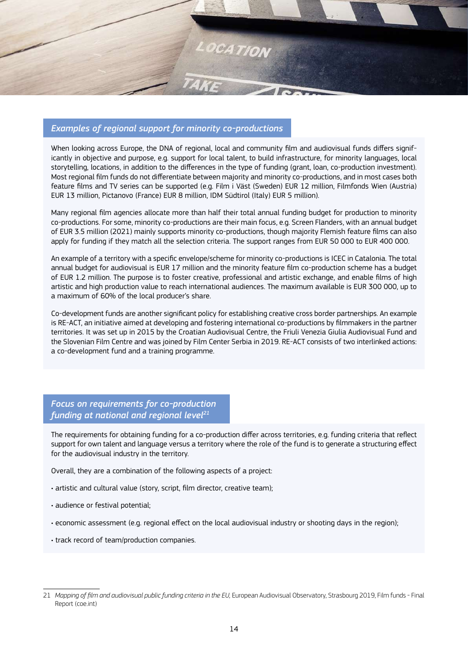

#### *Examples of regional support for minority co-productions*

When looking across Europe, the DNA of regional, local and community film and audiovisual funds differs significantly in objective and purpose, e.g. support for local talent, to build infrastructure, for minority languages, local storytelling, locations, in addition to the differences in the type of funding (grant, loan, co-production investment). Most regional film funds do not differentiate between majority and minority co-productions, and in most cases both feature films and TV series can be supported (e.g. Film i Väst (Sweden) EUR 12 million, Filmfonds Wien (Austria) EUR 13 million, Pictanovo (France) EUR 8 million, IDM Südtirol (Italy) EUR 5 million).

Many regional film agencies allocate more than half their total annual funding budget for production to minority co-productions. For some, minority co-productions are their main focus, e.g. Screen Flanders, with an annual budget of EUR 3.5 million (2021) mainly supports minority co-productions, though majority Flemish feature films can also apply for funding if they match all the selection criteria. The support ranges from EUR 50 000 to EUR 400 000.

An example of a territory with a specific envelope/scheme for minority co-productions is ICEC in Catalonia. The total annual budget for audiovisual is EUR 17 million and the minority feature film co-production scheme has a budget of EUR 1.2 million. The purpose is to foster creative, professional and artistic exchange, and enable films of high artistic and high production value to reach international audiences. The maximum available is EUR 300 000, up to a maximum of 60% of the local producer's share.

Co-development funds are another significant policy for establishing creative cross border partnerships. An example is RE-ACT, an initiative aimed at developing and fostering international co-productions by filmmakers in the partner territories. It was set up in 2015 by the Croatian Audiovisual Centre, the Friuli Venezia Giulia Audiovisual Fund and the Slovenian Film Centre and was joined by Film Center Serbia in 2019. RE-ACT consists of two interlinked actions: a co-development fund and a training programme.

*Focus on requirements for co-production funding at national and regional level21*

The requirements for obtaining funding for a co-production differ across territories, e.g. funding criteria that reflect support for own talent and language versus a territory where the role of the fund is to generate a structuring effect for the audiovisual industry in the territory.

Overall, they are a combination of the following aspects of a project:

- artistic and cultural value (story, script, film director, creative team);
- audience or festival potential;
- economic assessment (e.g. regional effect on the local audiovisual industry or shooting days in the region);
- track record of team/production companies.

<sup>21</sup> *Mapping of film and audiovisual public funding criteria in the EU,* European Audiovisual Observatory, Strasbourg 2019, Film funds - Final Report (coe.int)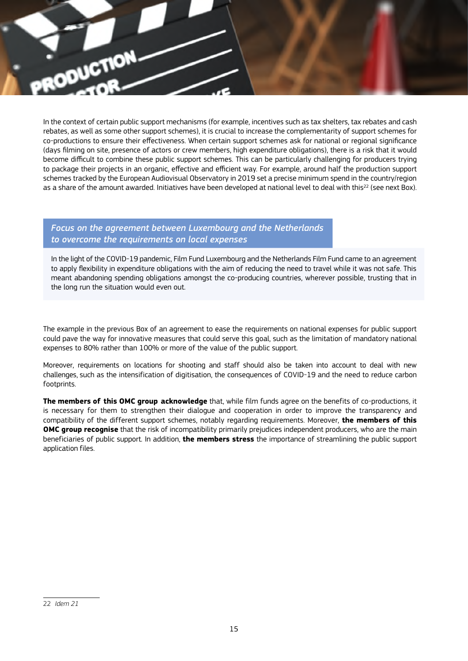

In the context of certain public support mechanisms (for example, incentives such as tax shelters, tax rebates and cash rebates, as well as some other support schemes), it is crucial to increase the complementarity of support schemes for co-productions to ensure their effectiveness. When certain support schemes ask for national or regional significance (days filming on site, presence of actors or crew members, high expenditure obligations), there is a risk that it would become difficult to combine these public support schemes. This can be particularly challenging for producers trying to package their projects in an organic, effective and efficient way. For example, around half the production support schemes tracked by the European Audiovisual Observatory in 2019 set a precise minimum spend in the country/region as a share of the amount awarded. Initiatives have been developed at national level to deal with this<sup>22</sup> (see next Box).

#### *Focus on the agreement between Luxembourg and the Netherlands to overcome the requirements on local expenses*

In the light of the COVID-19 pandemic, Film Fund Luxembourg and the Netherlands Film Fund came to an agreement to apply flexibility in expenditure obligations with the aim of reducing the need to travel while it was not safe. This meant abandoning spending obligations amongst the co-producing countries, wherever possible, trusting that in the long run the situation would even out.

The example in the previous Box of an agreement to ease the requirements on national expenses for public support could pave the way for innovative measures that could serve this goal, such as the limitation of mandatory national expenses to 80% rather than 100% or more of the value of the public support.

Moreover, requirements on locations for shooting and staff should also be taken into account to deal with new challenges, such as the intensification of digitisation, the consequences of COVID-19 and the need to reduce carbon footprints.

**The members of this OMC group acknowledge** that, while film funds agree on the benefits of co-productions, it is necessary for them to strengthen their dialogue and cooperation in order to improve the transparency and compatibility of the different support schemes, notably regarding requirements. Moreover, **the members of this OMC group recognise** that the risk of incompatibility primarily prejudices independent producers, who are the main beneficiaries of public support. In addition, **the members stress** the importance of streamlining the public support application files.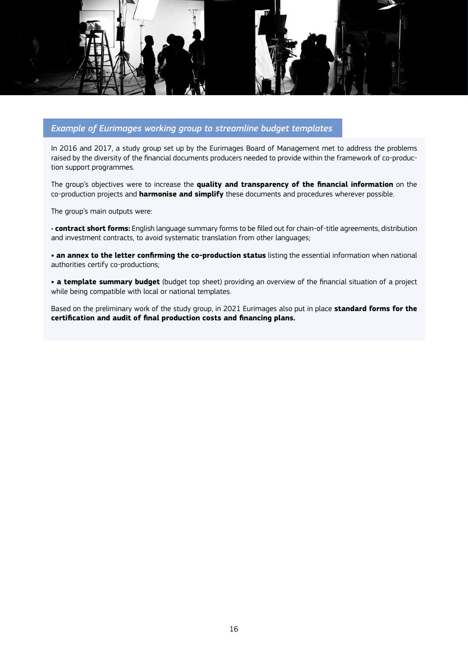

#### *Example of Eurimages working group to streamline budget templates*

In 2016 and 2017, a study group set up by the Eurimages Board of Management met to address the problems raised by the diversity of the financial documents producers needed to provide within the framework of co-production support programmes.

The group's objectives were to increase the **quality and transparency of the financial information** on the co-production projects and **harmonise and simplify** these documents and procedures wherever possible.

The group's main outputs were:

*•* **contract short forms:** English language summary forms to be filled out for chain-of-title agreements, distribution and investment contracts, to avoid systematic translation from other languages;

**• an annex to the letter confirming the co-production status** listing the essential information when national authorities certify co-productions;

**• a template summary budget** (budget top sheet) providing an overview of the financial situation of a project while being compatible with local or national templates.

Based on the preliminary work of the study group, in 2021 Eurimages also put in place **standard forms for the certification and audit of final production costs and financing plans.**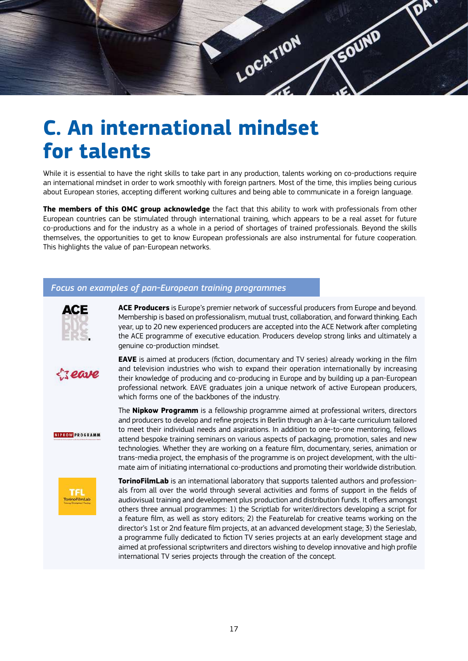<span id="page-16-0"></span>

### **C. An international mindset for talents**

While it is essential to have the right skills to take part in any production, talents working on co-productions require an international mindset in order to work smoothly with foreign partners. Most of the time, this implies being curious about European stories, accepting different working cultures and being able to communicate in a foreign language.

**The members of this OMC group acknowledge** the fact that this ability to work with professionals from other European countries can be stimulated through international training, which appears to be a real asset for future co-productions and for the industry as a whole in a period of shortages of trained professionals. Beyond the skills themselves, the opportunities to get to know European professionals are also instrumental for future cooperation. This highlights the value of pan-European networks.

#### *Focus on examples of pan-European training programmes*



**ACE Producers** is Europe's premier network of successful producers from Europe and beyond. Membership is based on professionalism, mutual trust, collaboration, and forward thinking. Each year, up to 20 new experienced producers are accepted into the ACE Network after completing the ACE programme of executive education. Producers develop strong links and ultimately a genuine co-production mindset.



**EAVE** is aimed at producers (fiction, documentary and TV series) already working in the film and television industries who wish to expand their operation internationally by increasing their knowledge of producing and co-producing in Europe and by building up a pan-European professional network. EAVE graduates join a unique network of active European producers, which forms one of the backbones of the industry.

**NIPKOW PROGRAMM** 

The **Nipkow Programm** is a fellowship programme aimed at professional writers, directors and producers to develop and refine projects in Berlin through an à-la-carte curriculum tailored to meet their individual needs and aspirations. In addition to one-to-one mentoring, fellows attend bespoke training seminars on various aspects of packaging, promotion, sales and new technologies. Whether they are working on a feature film, documentary, series, animation or trans-media project, the emphasis of the programme is on project development, with the ultimate aim of initiating international co-productions and promoting their worldwide distribution.



**TorinoFilmLab** is an international laboratory that supports talented authors and professionals from all over the world through several activities and forms of support in the fields of audiovisual training and development plus production and distribution funds. It offers amongst others three annual programmes: 1) the Scriptlab for writer/directors developing a script for a feature film, as well as story editors; 2) the Featurelab for creative teams working on the director's 1st or 2nd feature film projects, at an advanced development stage; 3) the Serieslab, a programme fully dedicated to fiction TV series projects at an early development stage and aimed at professional scriptwriters and directors wishing to develop innovative and high profile international TV series projects through the creation of the concept.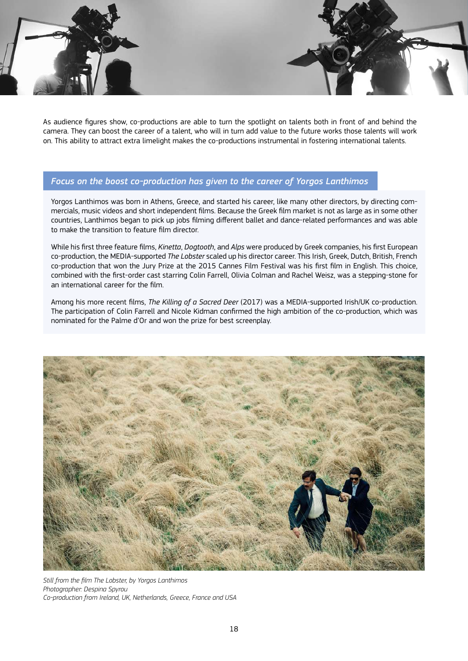

As audience figures show, co-productions are able to turn the spotlight on talents both in front of and behind the camera. They can boost the career of a talent, who will in turn add value to the future works those talents will work on. This ability to attract extra limelight makes the co-productions instrumental in fostering international talents.

#### *Focus on the boost co-production has given to the career of Yorgos Lanthimos*

Yorgos Lanthimos was born in Athens, Greece, and started his career, like many other directors, by directing commercials, music videos and short independent films. Because the Greek film market is not as large as in some other countries, Lanthimos began to pick up jobs filming different ballet and dance-related performances and was able to make the transition to feature film director.

While his first three feature films, *Kinetta*, *Dogtooth*, and *Alps* were produced by Greek companies, his first European co-production, the MEDIA-supported *The Lobster* scaled up his director career. This Irish, Greek, Dutch, British, French co-production that won the Jury Prize at the 2015 Cannes Film Festival was his first film in English. This choice, combined with the first-order cast starring Colin Farrell, Olivia Colman and Rachel Weisz, was a stepping-stone for an international career for the film.

Among his more recent films, *The Killing of a Sacred Deer* (2017) was a MEDIA-supported Irish/UK co-production. The participation of Colin Farrell and Nicole Kidman confirmed the high ambition of the co-production, which was nominated for the Palme d'Or and won the prize for best screenplay.



*Still from the film The Lobster, by Yorgos Lanthimos Photographer: Despina Spyrou Co-production from Ireland, UK, Netherlands, Greece, France and USA*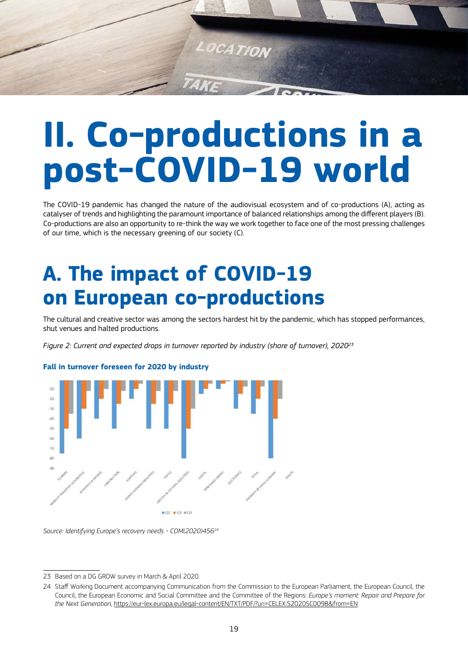<span id="page-18-0"></span>

## **II. Co-productions in a post-COVID-19 world**

The COVID-19 pandemic has changed the nature of the audiovisual ecosystem and of co-productions (A), acting as catalyser of trends and highlighting the paramount importance of balanced relationships among the different players (B). Co-productions are also an opportunity to re-think the way we work together to face one of the most pressing challenges of our time, which is the necessary greening of our society (C).

### **A. The impact of COVID-19 on European co-productions**

The cultural and creative sector was among the sectors hardest hit by the pandemic, which has stopped performances, shut venues and halted productions.

*Figure 2: Current and expected drops in turnover reported by industry (share of turnover), 202023*



#### **Fall in turnover foreseen for 2020 by industry**

*Source: Identifying Europe's recovery needs - COM(2020)45624*

<sup>23</sup> Based on a DG GROW survey in March & April 2020.

<sup>24</sup> Staff Working Document accompanying Communication from the Commission to the European Parliament, the European Council, the Council, the European Economic and Social Committee and the Committee of the Regions: *Europe's moment: Repair and Prepare for the Next Generation,* <https://eur-lex.europa.eu/legal-content/EN/TXT/PDF/?uri=CELEX:52020SC0098&from=EN>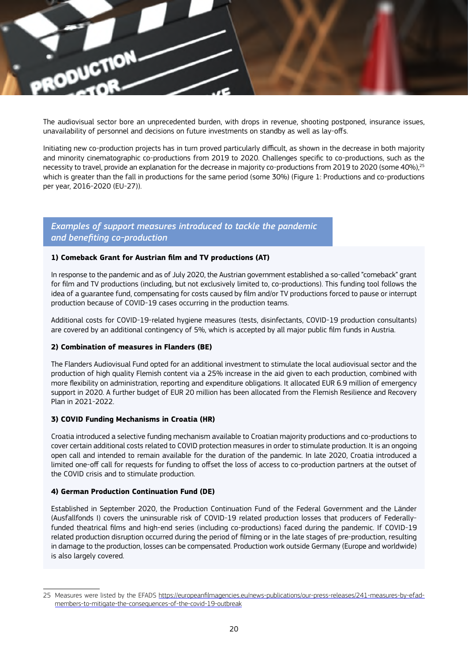

The audiovisual sector bore an unprecedented burden, with drops in revenue, shooting postponed, insurance issues, unavailability of personnel and decisions on future investments on standby as well as lay-offs.

Initiating new co-production projects has in turn proved particularly difficult, as shown in the decrease in both majority and minority cinematographic co-productions from 2019 to 2020. Challenges specific to co-productions, such as the necessity to travel, provide an explanation for the decrease in majority co-productions from 2019 to 2020 (some 40%),<sup>25</sup> which is greater than the fall in productions for the same period (some 30%) (Figure 1: Productions and co-productions per year, 2016-2020 (EU-27)).

#### *Examples of support measures introduced to tackle the pandemic and benefiting co-production*

#### **1) Comeback Grant for Austrian film and TV productions (AT)**

In response to the pandemic and as of July 2020, the Austrian government established a so-called "comeback" grant for film and TV productions (including, but not exclusively limited to, co-productions). This funding tool follows the idea of a guarantee fund, compensating for costs caused by film and/or TV productions forced to pause or interrupt production because of COVID-19 cases occurring in the production teams.

Additional costs for COVID-19-related hygiene measures (tests, disinfectants, COVID-19 production consultants) are covered by an additional contingency of 5%, which is accepted by all major public film funds in Austria.

#### **2) Combination of measures in Flanders (BE)**

The Flanders Audiovisual Fund opted for an additional investment to stimulate the local audiovisual sector and the production of high quality Flemish content via a 25% increase in the aid given to each production, combined with more flexibility on administration, reporting and expenditure obligations. It allocated EUR 6.9 million of emergency support in 2020. A further budget of EUR 20 million has been allocated from the Flemish Resilience and Recovery Plan in 2021-2022.

#### **3) COVID Funding Mechanisms in Croatia (HR)**

Croatia introduced a selective funding mechanism available to Croatian majority productions and co-productions to cover certain additional costs related to COVID protection measures in order to stimulate production. It is an ongoing open call and intended to remain available for the duration of the pandemic. In late 2020, Croatia introduced a limited one-off call for requests for funding to offset the loss of access to co-production partners at the outset of the COVID crisis and to stimulate production.

#### **4) German Production Continuation Fund (DE)**

Established in September 2020, the Production Continuation Fund of the Federal Government and the Länder (Ausfallfonds I) covers the uninsurable risk of COVID-19 related production losses that producers of Federallyfunded theatrical films and high-end series (including co-productions) faced during the pandemic. If COVID-19 related production disruption occurred during the period of filming or in the late stages of pre-production, resulting in damage to the production, losses can be compensated. Production work outside Germany (Europe and worldwide) is also largely covered.

<sup>25</sup> Measures were listed by the EFADS https://europeanfilmagencies.eu/news-publications/our-press-releases/241-measures-by-efadmembers-to-mitigate-the-consequences-of-the-covid-19-outbreak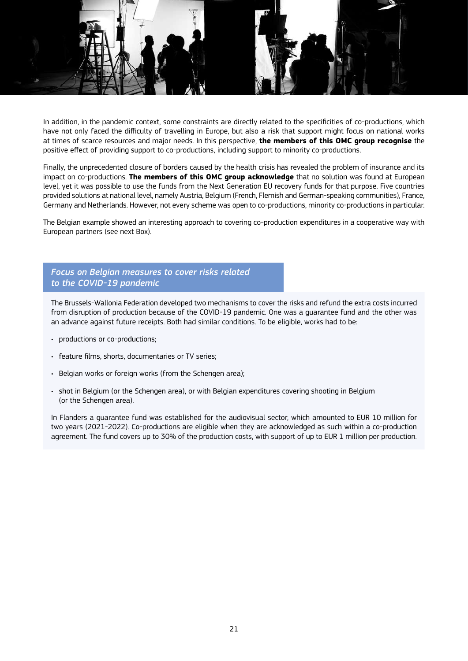

In addition, in the pandemic context, some constraints are directly related to the specificities of co-productions, which have not only faced the difficulty of travelling in Europe, but also a risk that support might focus on national works at times of scarce resources and major needs. In this perspective, **the members of this OMC group recognise** the positive effect of providing support to co-productions, including support to minority co-productions.

Finally, the unprecedented closure of borders caused by the health crisis has revealed the problem of insurance and its impact on co-productions. **The members of this OMC group acknowledge** that no solution was found at European level, yet it was possible to use the funds from the Next Generation EU recovery funds for that purpose. Five countries provided solutions at national level, namely Austria, Belgium (French, Flemish and German-speaking communities), France, Germany and Netherlands. However, not every scheme was open to co-productions, minority co-productions in particular.

The Belgian example showed an interesting approach to covering co-production expenditures in a cooperative way with European partners (see next Box).

#### *Focus on Belgian measures to cover risks related to the COVID-19 pandemic*

The Brussels-Wallonia Federation developed two mechanisms to cover the risks and refund the extra costs incurred from disruption of production because of the COVID-19 pandemic. One was a guarantee fund and the other was an advance against future receipts. Both had similar conditions. To be eligible, works had to be:

- productions or co-productions;
- feature films, shorts, documentaries or TV series;
- Belgian works or foreign works (from the Schengen area);
- shot in Belgium (or the Schengen area), or with Belgian expenditures covering shooting in Belgium (or the Schengen area).

In Flanders a guarantee fund was established for the audiovisual sector, which amounted to EUR 10 million for two years (2021-2022). Co-productions are eligible when they are acknowledged as such within a co-production agreement. The fund covers up to 30% of the production costs, with support of up to EUR 1 million per production.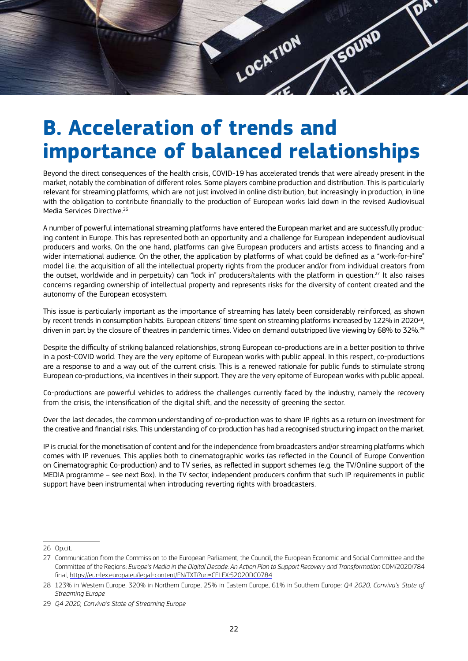<span id="page-21-0"></span>

### **B. Acceleration of trends and importance of balanced relationships**

Beyond the direct consequences of the health crisis, COVID-19 has accelerated trends that were already present in the market, notably the combination of different roles. Some players combine production and distribution. This is particularly relevant for streaming platforms, which are not just involved in online distribution, but increasingly in production, in line with the obligation to contribute financially to the production of European works laid down in the revised Audiovisual Media Services Directive.26

A number of powerful international streaming platforms have entered the European market and are successfully producing content in Europe. This has represented both an opportunity and a challenge for European independent audiovisual producers and works. On the one hand, platforms can give European producers and artists access to financing and a wider international audience. On the other, the application by platforms of what could be defined as a "work-for-hire" model (i.e. the acquisition of all the intellectual property rights from the producer and/or from individual creators from the outset, worldwide and in perpetuity) can "lock in" producers/talents with the platform in question.27 It also raises concerns regarding ownership of intellectual property and represents risks for the diversity of content created and the autonomy of the European ecosystem.

This issue is particularly important as the importance of streaming has lately been considerably reinforced, as shown by recent trends in consumption habits. European citizens' time spent on streaming platforms increased by 122% in 2020<sup>28</sup>, driven in part by the closure of theatres in pandemic times. Video on demand outstripped live viewing by 68% to 32%.<sup>29</sup>

Despite the difficulty of striking balanced relationships, strong European co-productions are in a better position to thrive in a post-COVID world. They are the very epitome of European works with public appeal. In this respect, co-productions are a response to and a way out of the current crisis. This is a renewed rationale for public funds to stimulate strong European co-productions, via incentives in their support. They are the very epitome of European works with public appeal.

Co-productions are powerful vehicles to address the challenges currently faced by the industry, namely the recovery from the crisis, the intensification of the digital shift, and the necessity of greening the sector.

Over the last decades, the common understanding of co-production was to share IP rights as a return on investment for the creative and financial risks. This understanding of co-production has had a recognised structuring impact on the market.

IP is crucial for the monetisation of content and for the independence from broadcasters and/or streaming platforms which comes with IP revenues. This applies both to cinematographic works (as reflected in the Council of Europe Convention on Cinematographic Co-production) and to TV series, as reflected in support schemes (e.g. the TV/Online support of the MEDIA programme – see next Box). In the TV sector, independent producers confirm that such IP requirements in public support have been instrumental when introducing reverting rights with broadcasters.

<sup>26</sup> Op.cit.

<sup>27</sup> Communication from the Commission to the European Parliament, the Council, the European Economic and Social Committee and the Committee of the Regions: *Europe's Media in the Digital Decade: An Action Plan to Support Recovery and Transformation* COM/2020/784 final, https://eur-lex.europa.eu/legal-content/EN/TXT/?uri=CELEX:52020DC0784

<sup>28</sup> 123% in Western Europe, 320% in Northern Europe, 25% in Eastern Europe, 61% in Southern Europe: *Q4 2020, Conviva's State of Streaming Europe*

<sup>29</sup> *Q4 2020, Conviva's State of Streaming Europe*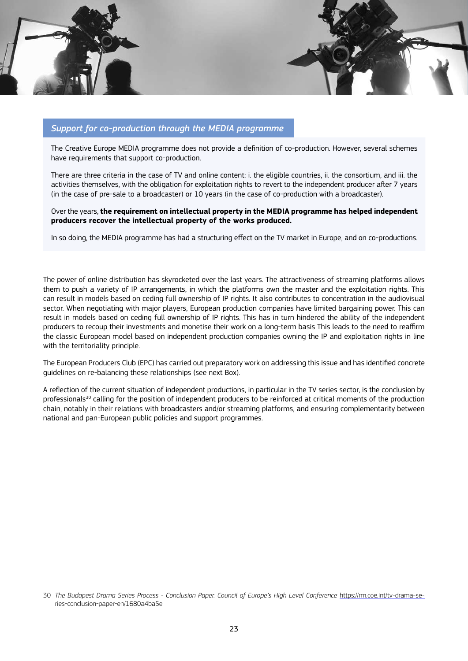

#### *Support for co-production through the MEDIA programme*

The Creative Europe MEDIA programme does not provide a definition of co-production. However, several schemes have requirements that support co-production.

There are three criteria in the case of TV and online content: i. the eligible countries, ii. the consortium, and iii. the activities themselves, with the obligation for exploitation rights to revert to the independent producer after 7 years (in the case of pre-sale to a broadcaster) or 10 years (in the case of co-production with a broadcaster).

Over the years, **the requirement on intellectual property in the MEDIA programme has helped independent producers recover the intellectual property of the works produced.** 

In so doing, the MEDIA programme has had a structuring effect on the TV market in Europe, and on co-productions.

The power of online distribution has skyrocketed over the last years. The attractiveness of streaming platforms allows them to push a variety of IP arrangements, in which the platforms own the master and the exploitation rights. This can result in models based on ceding full ownership of IP rights. It also contributes to concentration in the audiovisual sector. When negotiating with major players, European production companies have limited bargaining power. This can result in models based on ceding full ownership of IP rights. This has in turn hindered the ability of the independent producers to recoup their investments and monetise their work on a long-term basis This leads to the need to reaffirm the classic European model based on independent production companies owning the IP and exploitation rights in line with the territoriality principle.

The European Producers Club (EPC) has carried out preparatory work on addressing this issue and has identified concrete guidelines on re-balancing these relationships (see next Box).

A reflection of the current situation of independent productions, in particular in the TV series sector, is the conclusion by professionals<sup>30</sup> calling for the position of independent producers to be reinforced at critical moments of the production chain, notably in their relations with broadcasters and/or streaming platforms, and ensuring complementarity between national and pan-European public policies and support programmes.

<sup>30</sup> *The Budapest Drama Series Process - Conclusion Paper. Council of Europe's High Level Conference* [https://rm.coe.int/tv-drama-se](https://rm.coe.int/tv-drama-series-conclusion-paper-en/1680a4ba5e)[ries-conclusion-paper-en/1680a4ba5e](https://rm.coe.int/tv-drama-series-conclusion-paper-en/1680a4ba5e)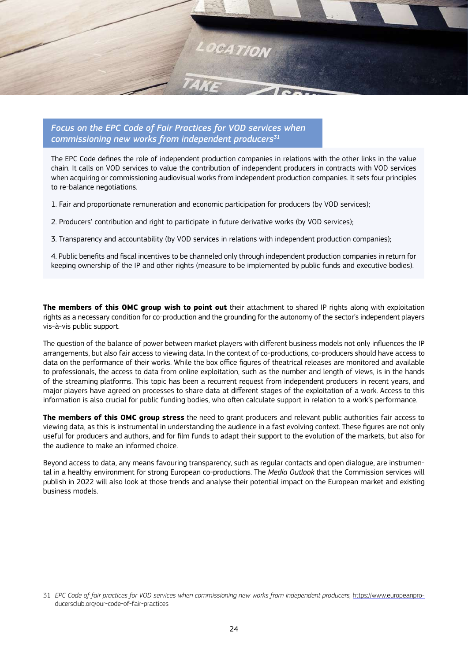

*Focus on the EPC Code of Fair Practices for VOD services when commissioning new works from independent producers31*

The EPC Code defines the role of independent production companies in relations with the other links in the value chain. It calls on VOD services to value the contribution of independent producers in contracts with VOD services when acquiring or commissioning audiovisual works from independent production companies. It sets four principles to re-balance negotiations.

1. Fair and proportionate remuneration and economic participation for producers (by VOD services);

- 2. Producers' contribution and right to participate in future derivative works (by VOD services);
- 3. Transparency and accountability (by VOD services in relations with independent production companies);

4. Public benefits and fiscal incentives to be channeled only through independent production companies in return for keeping ownership of the IP and other rights (measure to be implemented by public funds and executive bodies).

**The members of this OMC group wish to point out** their attachment to shared IP rights along with exploitation rights as a necessary condition for co-production and the grounding for the autonomy of the sector's independent players vis-à-vis public support.

The question of the balance of power between market players with different business models not only influences the IP arrangements, but also fair access to viewing data. In the context of co-productions, co-producers should have access to data on the performance of their works. While the box office figures of theatrical releases are monitored and available to professionals, the access to data from online exploitation, such as the number and length of views, is in the hands of the streaming platforms. This topic has been a recurrent request from independent producers in recent years, and major players have agreed on processes to share data at different stages of the exploitation of a work. Access to this information is also crucial for public funding bodies, who often calculate support in relation to a work's performance.

**The members of this OMC group stress** the need to grant producers and relevant public authorities fair access to viewing data, as this is instrumental in understanding the audience in a fast evolving context. These figures are not only useful for producers and authors, and for film funds to adapt their support to the evolution of the markets, but also for the audience to make an informed choice.

Beyond access to data, any means favouring transparency, such as regular contacts and open dialogue, are instrumental in a healthy environment for strong European co-productions. The *Media Outlook* that the Commission services will publish in 2022 will also look at those trends and analyse their potential impact on the European market and existing business models.

<sup>31</sup> *EPC Code of fair practices for VOD services when commissioning new works from independent producers,* [https://www.europeanpro](https://www.europeanproducersclub.org/our-code-of-fair-practices)[ducersclub.org/our-code-of-fair-practices](https://www.europeanproducersclub.org/our-code-of-fair-practices)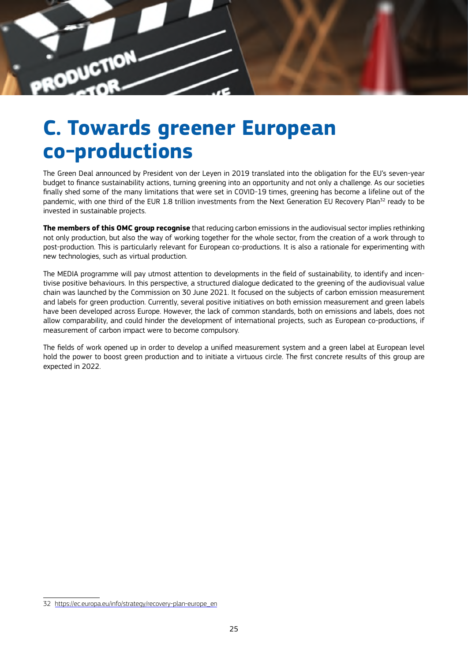<span id="page-24-0"></span>

### **C. Towards greener European co-productions**

The Green Deal announced by President von der Leyen in 2019 translated into the obligation for the EU's seven-year budget to finance sustainability actions, turning greening into an opportunity and not only a challenge. As our societies finally shed some of the many limitations that were set in COVID-19 times, greening has become a lifeline out of the pandemic, with one third of the EUR 1.8 trillion investments from the Next Generation EU Recovery Plan<sup>32</sup> ready to be invested in sustainable projects.

**The members of this OMC group recognise** that reducing carbon emissions in the audiovisual sector implies rethinking not only production, but also the way of working together for the whole sector, from the creation of a work through to post-production. This is particularly relevant for European co-productions. It is also a rationale for experimenting with new technologies, such as virtual production.

The MEDIA programme will pay utmost attention to developments in the field of sustainability, to identify and incentivise positive behaviours. In this perspective, a structured dialogue dedicated to the greening of the audiovisual value chain was launched by the Commission on 30 June 2021. It focused on the subjects of carbon emission measurement and labels for green production. Currently, several positive initiatives on both emission measurement and green labels have been developed across Europe. However, the lack of common standards, both on emissions and labels, does not allow comparability, and could hinder the development of international projects, such as European co-productions, if measurement of carbon impact were to become compulsory.

The fields of work opened up in order to develop a unified measurement system and a green label at European level hold the power to boost green production and to initiate a virtuous circle. The first concrete results of this group are expected in 2022.

<sup>32</sup> [https://ec.europa.eu/info/strategy/recovery-plan-europe\\_en](https://ec.europa.eu/info/strategy/recovery-plan-europe_en)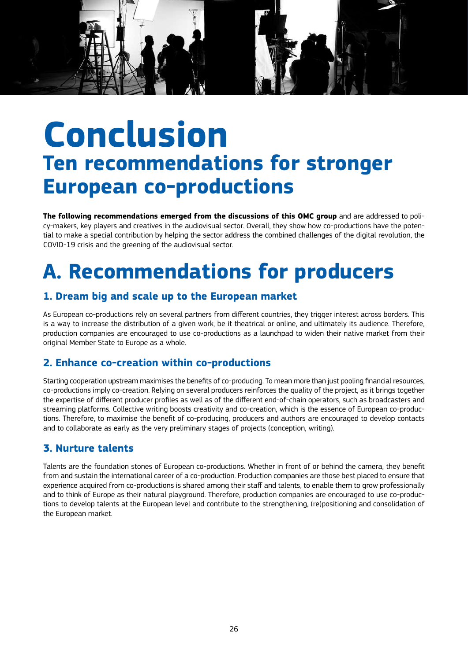<span id="page-25-0"></span>

### **Conclusion Ten recommendations for stronger European co-productions**

**The following recommendations emerged from the discussions of this OMC group** and are addressed to policy-makers, key players and creatives in the audiovisual sector. Overall, they show how co-productions have the potential to make a special contribution by helping the sector address the combined challenges of the digital revolution, the COVID-19 crisis and the greening of the audiovisual sector.

### **A. Recommendations for producers**

#### **1. Dream big and scale up to the European market**

As European co-productions rely on several partners from different countries, they trigger interest across borders. This is a way to increase the distribution of a given work, be it theatrical or online, and ultimately its audience. Therefore, production companies are encouraged to use co-productions as a launchpad to widen their native market from their original Member State to Europe as a whole.

#### **2. Enhance co-creation within co-productions**

Starting cooperation upstream maximises the benefits of co-producing. To mean more than just pooling financial resources, co-productions imply co-creation. Relying on several producers reinforces the quality of the project, as it brings together the expertise of different producer profiles as well as of the different end-of-chain operators, such as broadcasters and streaming platforms. Collective writing boosts creativity and co-creation, which is the essence of European co-productions. Therefore, to maximise the benefit of co-producing, producers and authors are encouraged to develop contacts and to collaborate as early as the very preliminary stages of projects (conception, writing).

#### **3. Nurture talents**

Talents are the foundation stones of European co-productions. Whether in front of or behind the camera, they benefit from and sustain the international career of a co-production. Production companies are those best placed to ensure that experience acquired from co-productions is shared among their staff and talents, to enable them to grow professionally and to think of Europe as their natural playground. Therefore, production companies are encouraged to use co-productions to develop talents at the European level and contribute to the strengthening, (re)positioning and consolidation of the European market.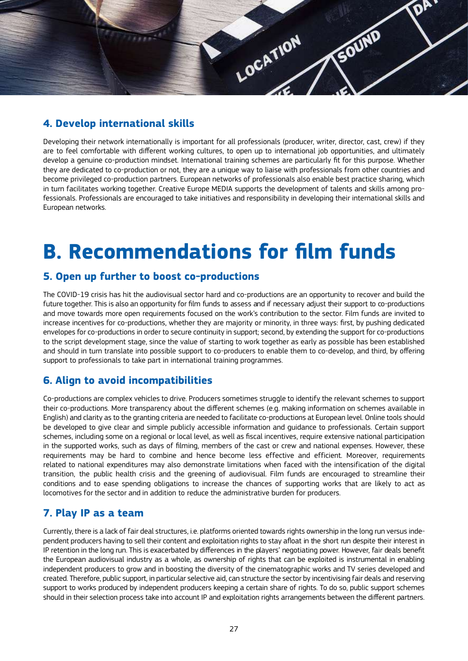

#### **4. Develop international skills**

Developing their network internationally is important for all professionals (producer, writer, director, cast, crew) if they are to feel comfortable with different working cultures, to open up to international job opportunities, and ultimately develop a genuine co-production mindset. International training schemes are particularly fit for this purpose. Whether they are dedicated to co-production or not, they are a unique way to liaise with professionals from other countries and become privileged co-production partners. European networks of professionals also enable best practice sharing, which in turn facilitates working together. Creative Europe MEDIA supports the development of talents and skills among professionals. Professionals are encouraged to take initiatives and responsibility in developing their international skills and European networks.

### **B. Recommendations for film funds**

#### **5. Open up further to boost co-productions**

The COVID-19 crisis has hit the audiovisual sector hard and co-productions are an opportunity to recover and build the future together. This is also an opportunity for film funds to assess and if necessary adjust their support to co-productions and move towards more open requirements focused on the work's contribution to the sector. Film funds are invited to increase incentives for co-productions, whether they are majority or minority, in three ways: first, by pushing dedicated envelopes for co-productions in order to secure continuity in support; second, by extending the support for co-productions to the script development stage, since the value of starting to work together as early as possible has been established and should in turn translate into possible support to co-producers to enable them to co-develop, and third, by offering support to professionals to take part in international training programmes.

#### **6. Align to avoid incompatibilities**

Co-productions are complex vehicles to drive. Producers sometimes struggle to identify the relevant schemes to support their co-productions. More transparency about the different schemes (e.g. making information on schemes available in English) and clarity as to the granting criteria are needed to facilitate co-productions at European level. Online tools should be developed to give clear and simple publicly accessible information and guidance to professionals. Certain support schemes, including some on a regional or local level, as well as fiscal incentives, require extensive national participation in the supported works, such as days of filming, members of the cast or crew and national expenses. However, these requirements may be hard to combine and hence become less effective and efficient. Moreover, requirements related to national expenditures may also demonstrate limitations when faced with the intensification of the digital transition, the public health crisis and the greening of audiovisual. Film funds are encouraged to streamline their conditions and to ease spending obligations to increase the chances of supporting works that are likely to act as locomotives for the sector and in addition to reduce the administrative burden for producers.

#### **7. Play IP as a team**

Currently, there is a lack of fair deal structures, i.e. platforms oriented towards rights ownership in the long run versus independent producers having to sell their content and exploitation rights to stay afloat in the short run despite their interest in IP retention in the long run. This is exacerbated by differences in the players' negotiating power. However, fair deals benefit the European audiovisual industry as a whole, as ownership of rights that can be exploited is instrumental in enabling independent producers to grow and in boosting the diversity of the cinematographic works and TV series developed and created. Therefore, public support, in particular selective aid, can structure the sector by incentivising fair deals and reserving support to works produced by independent producers keeping a certain share of rights. To do so, public support schemes should in their selection process take into account IP and exploitation rights arrangements between the different partners.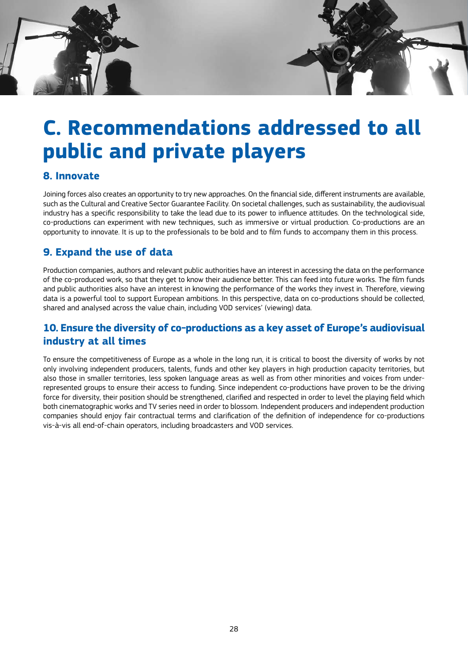### **C. Recommendations addressed to all public and private players**

#### **8. Innovate**

Joining forces also creates an opportunity to try new approaches. On the financial side, different instruments are available, such as the Cultural and Creative Sector Guarantee Facility. On societal challenges, such as sustainability, the audiovisual industry has a specific responsibility to take the lead due to its power to influence attitudes. On the technological side, co-productions can experiment with new techniques, such as immersive or virtual production. Co-productions are an opportunity to innovate. It is up to the professionals to be bold and to film funds to accompany them in this process.

#### **9. Expand the use of data**

Production companies, authors and relevant public authorities have an interest in accessing the data on the performance of the co-produced work, so that they get to know their audience better. This can feed into future works. The film funds and public authorities also have an interest in knowing the performance of the works they invest in. Therefore, viewing data is a powerful tool to support European ambitions. In this perspective, data on co-productions should be collected, shared and analysed across the value chain, including VOD services' (viewing) data.

#### **10. Ensure the diversity of co-productions as a key asset of Europe's audiovisual industry at all times**

To ensure the competitiveness of Europe as a whole in the long run, it is critical to boost the diversity of works by not only involving independent producers, talents, funds and other key players in high production capacity territories, but also those in smaller territories, less spoken language areas as well as from other minorities and voices from underrepresented groups to ensure their access to funding. Since independent co-productions have proven to be the driving force for diversity, their position should be strengthened, clarified and respected in order to level the playing field which both cinematographic works and TV series need in order to blossom. Independent producers and independent production companies should enjoy fair contractual terms and clarification of the definition of independence for co-productions vis-à-vis all end-of-chain operators, including broadcasters and VOD services.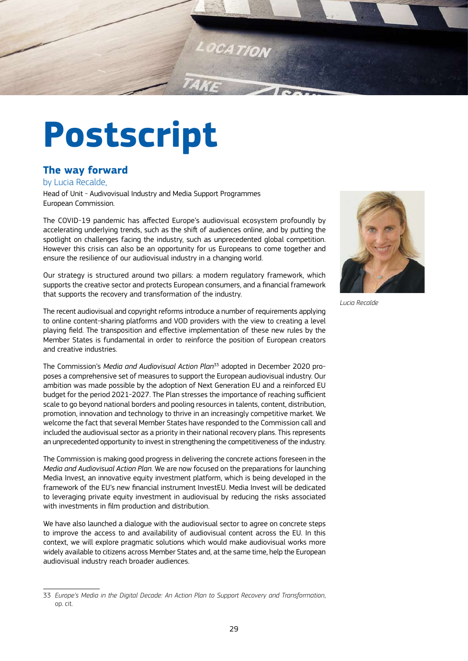<span id="page-28-0"></span>

## **Postscript**

#### **The way forward**

#### by Lucia Recalde,

Head of Unit - Audivovisual Industry and Media Support Programmes European Commission.

The COVID-19 pandemic has affected Europe's audiovisual ecosystem profoundly by accelerating underlying trends, such as the shift of audiences online, and by putting the spotlight on challenges facing the industry, such as unprecedented global competition. However this crisis can also be an opportunity for us Europeans to come together and ensure the resilience of our audiovisual industry in a changing world.

Our strategy is structured around two pillars: a modern regulatory framework, which supports the creative sector and protects European consumers, and a financial framework that supports the recovery and transformation of the industry.

The recent audiovisual and copyright reforms introduce a number of requirements applying to online content-sharing platforms and VOD providers with the view to creating a level playing field. The transposition and effective implementation of these new rules by the Member States is fundamental in order to reinforce the position of European creators and creative industries.

The Commission's *Media and Audiovisual Action Plan*33 adopted in December 2020 proposes a comprehensive set of measures to support the European audiovisual industry. Our ambition was made possible by the adoption of Next Generation EU and a reinforced EU budget for the period 2021-2027. The Plan stresses the importance of reaching sufficient scale to go beyond national borders and pooling resources in talents, content, distribution, promotion, innovation and technology to thrive in an increasingly competitive market. We welcome the fact that several Member States have responded to the Commission call and included the audiovisual sector as a priority in their national recovery plans. This represents an unprecedented opportunity to invest in strengthening the competitiveness of the industry.

The Commission is making good progress in delivering the concrete actions foreseen in the *Media and Audiovisual Action Plan.* We are now focused on the preparations for launching Media Invest, an innovative equity investment platform, which is being developed in the framework of the EU's new financial instrument InvestEU. Media Invest will be dedicated to leveraging private equity investment in audiovisual by reducing the risks associated with investments in film production and distribution.

We have also launched a dialogue with the audiovisual sector to agree on concrete steps to improve the access to and availability of audiovisual content across the EU. In this context, we will explore pragmatic solutions which would make audiovisual works more widely available to citizens across Member States and, at the same time, help the European audiovisual industry reach broader audiences.



*Lucia Recalde*

<sup>33</sup> *Europe's Media in the Digital Decade: An Action Plan to Support Recovery and Transformation*, op. cit.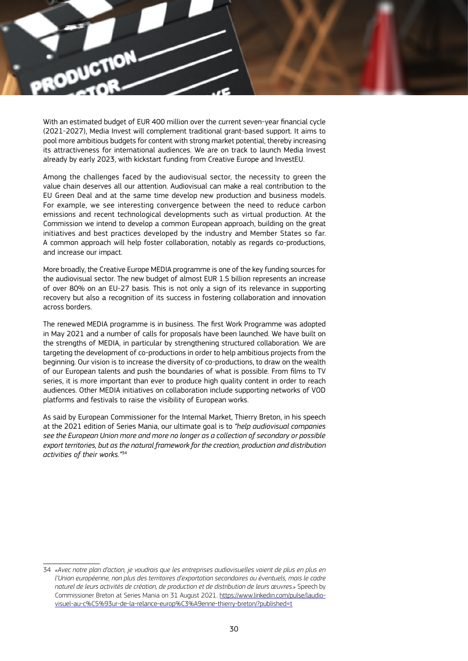

With an estimated budget of EUR 400 million over the current seven-year financial cycle (2021-2027), Media Invest will complement traditional grant-based support. It aims to pool more ambitious budgets for content with strong market potential, thereby increasing its attractiveness for international audiences. We are on track to launch Media Invest already by early 2023, with kickstart funding from Creative Europe and InvestEU.

Among the challenges faced by the audiovisual sector, the necessity to green the value chain deserves all our attention. Audiovisual can make a real contribution to the EU Green Deal and at the same time develop new production and business models. For example, we see interesting convergence between the need to reduce carbon emissions and recent technological developments such as virtual production. At the Commission we intend to develop a common European approach, building on the great initiatives and best practices developed by the industry and Member States so far. A common approach will help foster collaboration, notably as regards co-productions, and increase our impact.

More broadly, the Creative Europe MEDIA programme is one of the key funding sources for the audiovisual sector. The new budget of almost EUR 1.5 billion represents an increase of over 80% on an EU-27 basis. This is not only a sign of its relevance in supporting recovery but also a recognition of its success in fostering collaboration and innovation across borders.

The renewed MEDIA programme is in business. The first Work Programme was adopted in May 2021 and a number of calls for proposals have been launched. We have built on the strengths of MEDIA, in particular by strengthening structured collaboration. We are targeting the development of co-productions in order to help ambitious projects from the beginning. Our vision is to increase the diversity of co-productions, to draw on the wealth of our European talents and push the boundaries of what is possible. From films to TV series, it is more important than ever to produce high quality content in order to reach audiences. Other MEDIA initiatives on collaboration include supporting networks of VOD platforms and festivals to raise the visibility of European works.

As said by European Commissioner for the Internal Market, Thierry Breton, in his speech at the 2021 edition of Series Mania, our ultimate goal is to *"help audiovisual companies see the European Union more and more no longer as a collection of secondary or possible export territories, but as the natural framework for the creation, production and distribution activities of their works."*<sup>34</sup>

<sup>34</sup> *«Avec notre plan d'action, je voudrais que les entreprises audiovisuelles voient de plus en plus en l'Union européenne, non plus des territoires d'exportation secondaires ou éventuels, mais le cadre naturel de leurs activités de création, de production et de distribution de leurs œuvres.»* Speech by Commissioner Breton at Series Mania on 31 August 2021. [https://www.linkedin.com/pulse/laudio](https://www.linkedin.com/pulse/laudiovisuel-au-c%C5%93ur-de-la-relance-europ%C3%A9enne-thierry-breton/?published=t)[visuel-au-c%C5%93ur-de-la-relance-europ%C3%A9enne-thierry-breton/?published=t](https://www.linkedin.com/pulse/laudiovisuel-au-c%C5%93ur-de-la-relance-europ%C3%A9enne-thierry-breton/?published=t)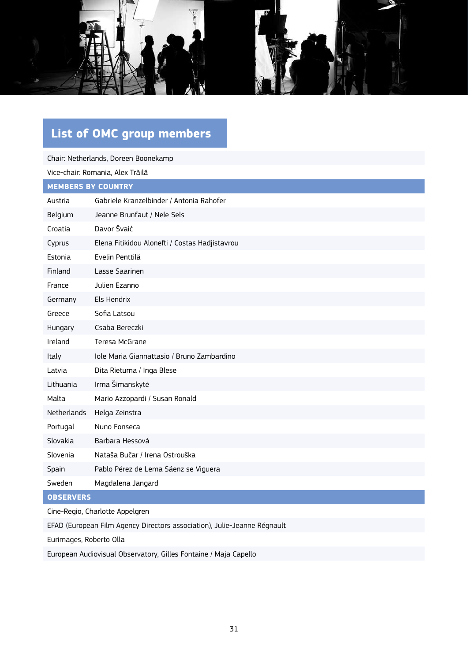<span id="page-30-0"></span>

### **List of OMC group members**

| Chair: Netherlands, Doreen Boonekamp |                                                |  |
|--------------------------------------|------------------------------------------------|--|
|                                      | Vice-chair: Romania, Alex Trăilă               |  |
| <b>MEMBERS BY COUNTRY</b>            |                                                |  |
| Austria                              | Gabriele Kranzelbinder / Antonia Rahofer       |  |
| Belgium                              | Jeanne Brunfaut / Nele Sels                    |  |
| Croatia                              | Davor Švaić                                    |  |
| Cyprus                               | Elena Fitikidou Alonefti / Costas Hadjistavrou |  |
| Estonia                              | Evelin Penttilä                                |  |
| Finland                              | Lasse Saarinen                                 |  |
| France                               | Julien Ezanno                                  |  |
| Germany                              | Els Hendrix                                    |  |
| Greece                               | Sofia Latsou                                   |  |
| Hungary                              | Csaba Bereczki                                 |  |
| Ireland                              | Teresa McGrane                                 |  |
| Italy                                | Iole Maria Giannattasio / Bruno Zambardino     |  |
| Latvia                               | Dita Rietuma / Inga Blese                      |  |
| Lithuania                            | Irma Šimanskytė                                |  |
| Malta                                | Mario Azzopardi / Susan Ronald                 |  |
| <b>Netherlands</b>                   | Helga Zeinstra                                 |  |
| Portugal                             | Nuno Fonseca                                   |  |
| Slovakia                             | Barbara Hessová                                |  |
| Slovenia                             | Nataša Bučar / Irena Ostrouška                 |  |
| Spain                                | Pablo Pérez de Lema Sáenz se Viguera           |  |
| Sweden                               | Magdalena Jangard                              |  |
| <b>OBSERVERS</b>                     |                                                |  |

Cine-Regio, Charlotte Appelgren

EFAD (European Film Agency Directors association), Julie-Jeanne Régnault

Eurimages, Roberto Olla

European Audiovisual Observatory, Gilles Fontaine / Maja Capello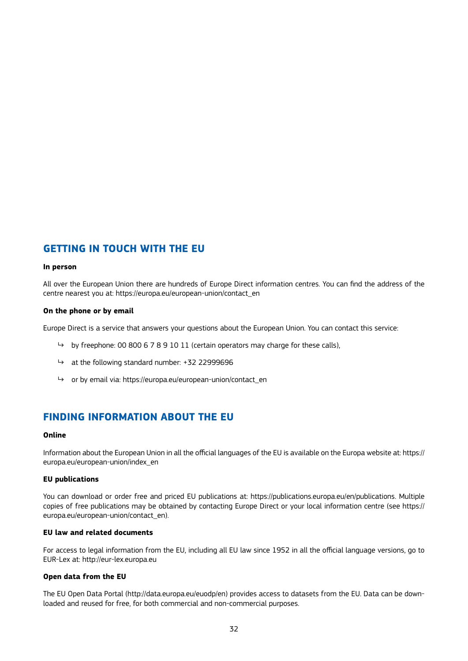#### **GETTING IN TOUCH WITH THE EU**

#### **In person**

All over the European Union there are hundreds of Europe Direct information centres. You can find the address of the centre nearest you at: https://europa.eu/european-union/contact\_en

#### **On the phone or by email**

Europe Direct is a service that answers your questions about the European Union. You can contact this service:

- by freephone: 00 800 6 7 8 9 10 11 (certain operators may charge for these calls),
- $\rightarrow$  at the following standard number: +32 22999696
- ↳ or by email via: https://europa.eu/european-union/contact\_en

#### **FINDING INFORMATION ABOUT THE EU**

#### **Online**

Information about the European Union in all the official languages of the EU is available on the Europa website at: https:// europa.eu/european-union/index\_en

#### **EU publications**

You can download or order free and priced EU publications at: https://publications.europa.eu/en/publications. Multiple copies of free publications may be obtained by contacting Europe Direct or your local information centre (see https:// europa.eu/european-union/contact\_en).

#### **EU law and related documents**

For access to legal information from the EU, including all EU law since 1952 in all the official language versions, go to EUR-Lex at: http://eur-lex.europa.eu

#### **Open data from the EU**

The EU Open Data Portal (http://data.europa.eu/euodp/en) provides access to datasets from the EU. Data can be downloaded and reused for free, for both commercial and non-commercial purposes.